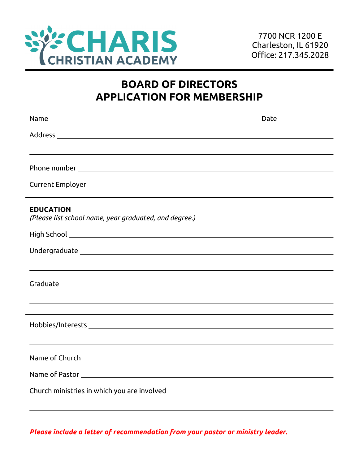

## **BOARD OF DIRECTORS APPLICATION FOR MEMBERSHIP**

|                                                                                                                                                 | Date ________________ |
|-------------------------------------------------------------------------------------------------------------------------------------------------|-----------------------|
|                                                                                                                                                 |                       |
|                                                                                                                                                 |                       |
|                                                                                                                                                 |                       |
| <b>EDUCATION</b><br>(Please list school name, year graduated, and degree.)                                                                      |                       |
|                                                                                                                                                 |                       |
|                                                                                                                                                 |                       |
| ,我们也不会有什么。""我们的人,我们也不会有什么?""我们的人,我们也不会有什么?""我们的人,我们也不会有什么?""我们的人,我们也不会有什么?""我们的人<br><u> 1989 - Johann Stoff, amerikansk politiker (d. 1989)</u> |                       |
|                                                                                                                                                 |                       |
|                                                                                                                                                 |                       |
|                                                                                                                                                 |                       |
|                                                                                                                                                 |                       |
|                                                                                                                                                 |                       |

*Please include a letter of recommendation from your pastor or ministry leader.*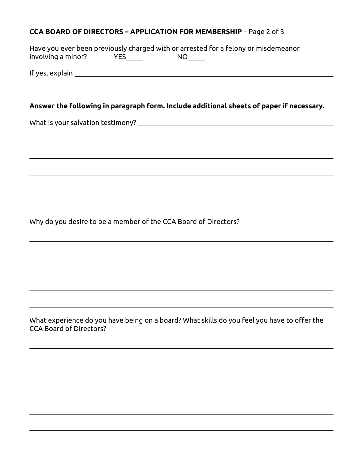## **CCA BOARD OF DIRECTORS – APPLICATION FOR MEMBERSHIP** – Page 2 of 3

| Have you ever been previously charged with or arrested for a felony or misdemeanor<br>involving a minor? YES_____             |  |  |  |
|-------------------------------------------------------------------------------------------------------------------------------|--|--|--|
|                                                                                                                               |  |  |  |
| Answer the following in paragraph form. Include additional sheets of paper if necessary.                                      |  |  |  |
|                                                                                                                               |  |  |  |
| ,我们也不能在这里的时候,我们也不能在这里的时候,我们也不能会在这里的时候,我们也不能会在这里的时候,我们也不能会在这里的时候,我们也不能会在这里的时候,我们也不                                             |  |  |  |
| ,我们也不能在这里的时候,我们也不能在这里的时候,我们也不能会在这里的时候,我们也不能会在这里的时候,我们也不能会在这里的时候,我们也不能会在这里的时候,我们也                                              |  |  |  |
| ,我们也不会有什么。""我们的人,我们也不会有什么?""我们的人,我们也不会有什么?""我们的人,我们也不会有什么?""我们的人,我们也不会有什么?""我们的人                                              |  |  |  |
| Why do you desire to be a member of the CCA Board of Directors? _________________                                             |  |  |  |
| ,我们也不能在这里的时候,我们也不能在这里的时候,我们也不能在这里的时候,我们也不能会在这里的时候,我们也不能会在这里的时候,我们也不能会在这里的时候,我们也不                                              |  |  |  |
|                                                                                                                               |  |  |  |
|                                                                                                                               |  |  |  |
| What experience do you have being on a board? What skills do you feel you have to offer the<br><b>CCA Board of Directors?</b> |  |  |  |
|                                                                                                                               |  |  |  |
|                                                                                                                               |  |  |  |
|                                                                                                                               |  |  |  |